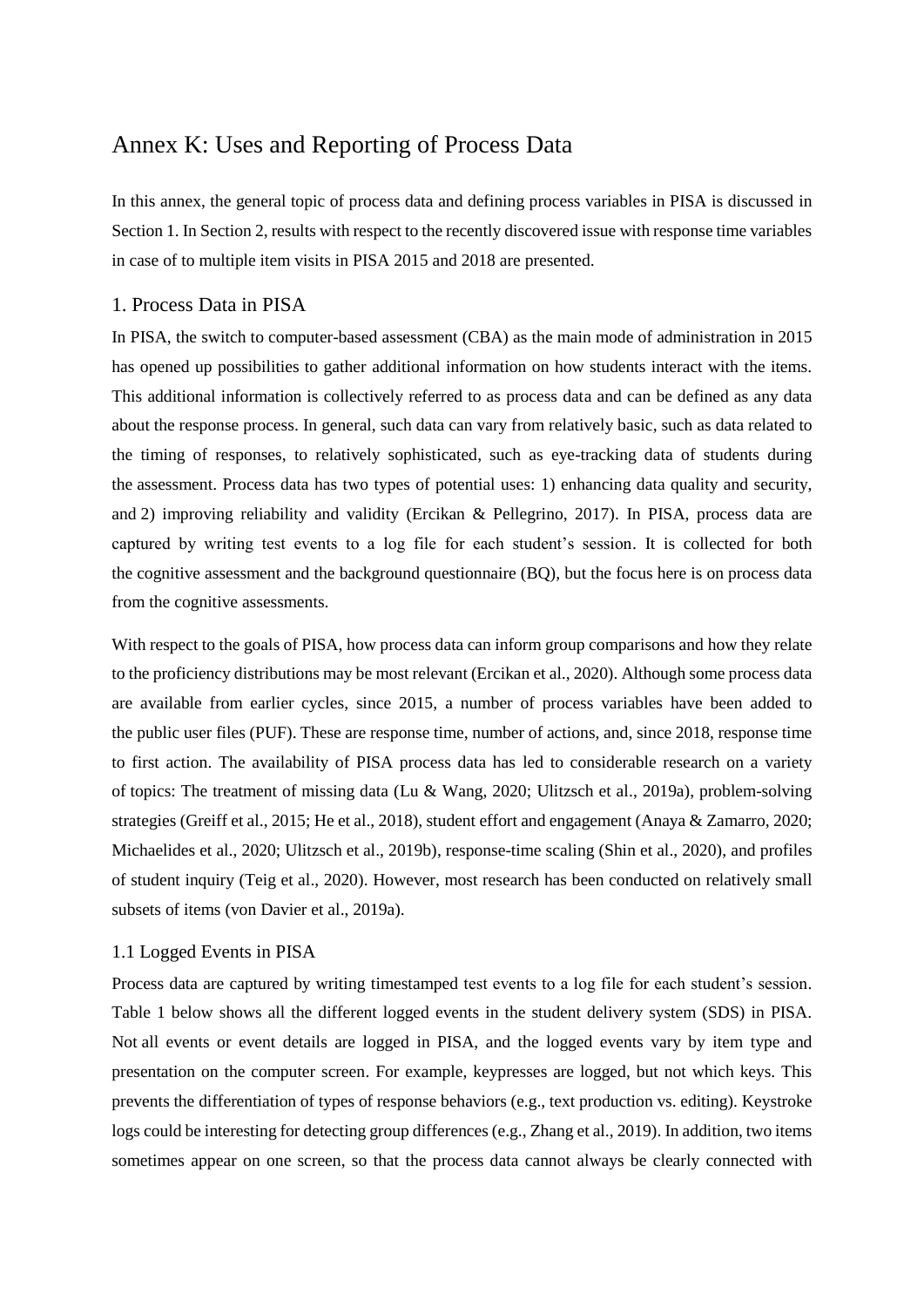# Annex K: Uses and Reporting of Process Data

In this annex, the general topic of process data and defining process variables in PISA is discussed in Section 1. In Section 2, results with respect to the recently discovered issue with response time variables in case of to multiple item visits in PISA 2015 and 2018 are presented.

## 1. Process Data in PISA

In PISA, the switch to computer-based assessment (CBA) as the main mode of administration in 2015 has opened up possibilities to gather additional information on how students interact with the items. This additional information is collectively referred to as process data and can be defined as any data about the response process. In general, such data can vary from relatively basic, such as data related to the timing of responses, to relatively sophisticated, such as eye-tracking data of students during the assessment. Process data has two types of potential uses: 1) enhancing data quality and security, and 2) improving reliability and validity (Ercikan & Pellegrino, 2017). In PISA, process data are captured by writing test events to a log file for each student's session. It is collected for both the cognitive assessment and the background questionnaire (BQ), but the focus here is on process data from the cognitive assessments.

With respect to the goals of PISA, how process data can inform group comparisons and how they relate to the proficiency distributions may be most relevant (Ercikan et al., 2020). Although some process data are available from earlier cycles, since 2015, a number of process variables have been added to the public user files (PUF). These are response time, number of actions, and, since 2018, response time to first action. The availability of PISA process data has led to considerable research on a variety of topics: The treatment of missing data (Lu & Wang, 2020; Ulitzsch et al., 2019a), problem-solving strategies (Greiff et al., 2015; He et al., 2018), student effort and engagement (Anaya & Zamarro, 2020; Michaelides et al., 2020; Ulitzsch et al., 2019b), response-time scaling (Shin et al., 2020), and profiles of student inquiry (Teig et al., 2020). However, most research has been conducted on relatively small subsets of items (von Davier et al., 2019a).

## 1.1 Logged Events in PISA

Process data are captured by writing timestamped test events to a log file for each student's session. Table 1 below shows all the different logged events in the student delivery system (SDS) in PISA. Not all events or event details are logged in PISA, and the logged events vary by item type and presentation on the computer screen. For example, keypresses are logged, but not which keys. This prevents the differentiation of types of response behaviors (e.g., text production vs. editing). Keystroke logs could be interesting for detecting group differences (e.g., Zhang et al., 2019). In addition, two items sometimes appear on one screen, so that the process data cannot always be clearly connected with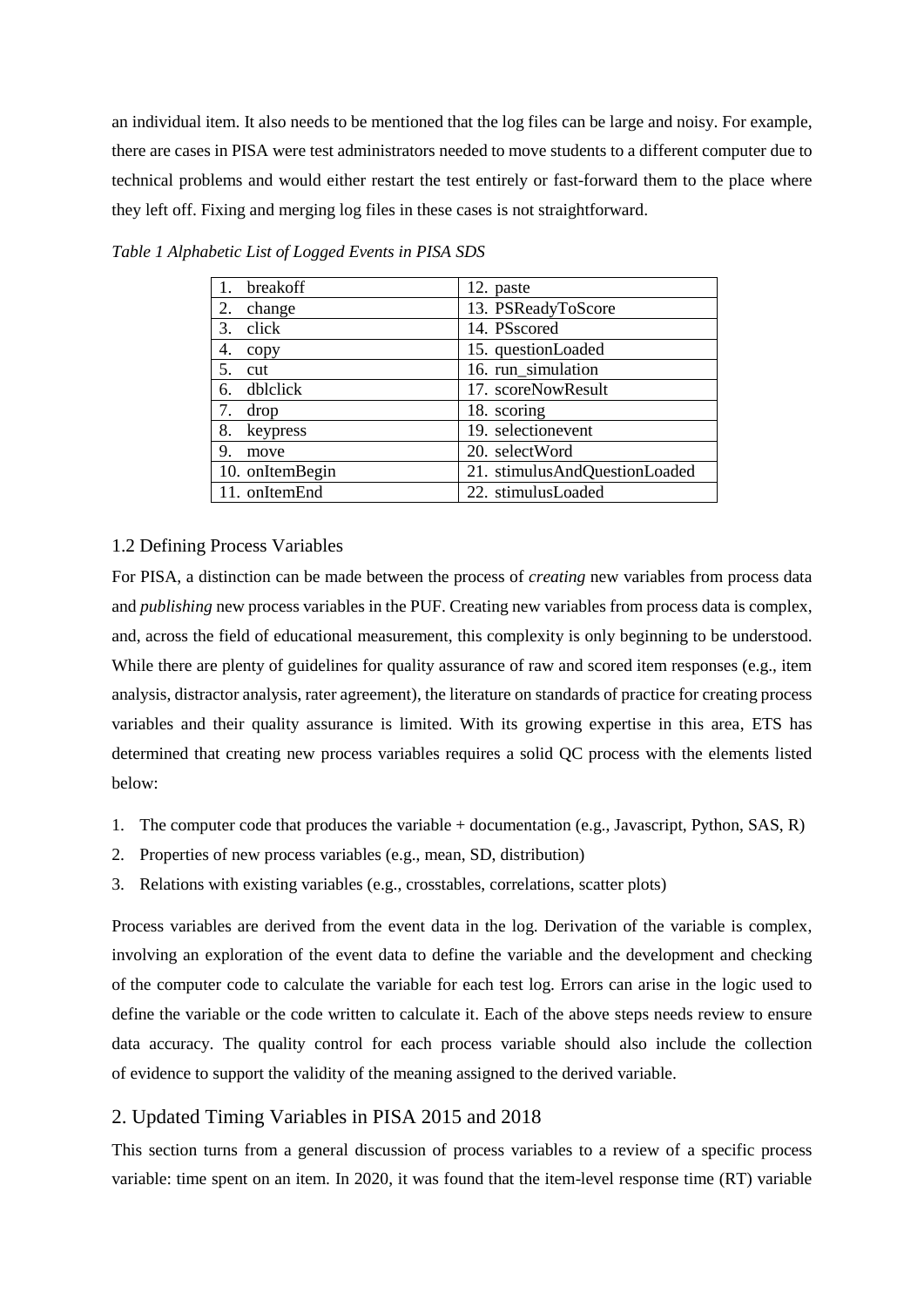an individual item. It also needs to be mentioned that the log files can be large and noisy. For example, there are cases in PISA were test administrators needed to move students to a different computer due to technical problems and would either restart the test entirely or fast-forward them to the place where they left off. Fixing and merging log files in these cases is not straightforward.

| breakoff        | 12. paste                     |
|-----------------|-------------------------------|
| 2.<br>change    | 13. PSReadyToScore            |
| 3.<br>click     | 14. PSscored                  |
| 4.<br>copy      | 15. questionLoaded            |
| 5.<br>cut       | 16. run_simulation            |
| 6. dblclick     | 17. scoreNowResult            |
| 7. drop         | 18. scoring                   |
| 8.<br>keypress  | 19. selectionevent            |
| 9.<br>move      | 20. selectWord                |
| 10. onItemBegin | 21. stimulusAndQuestionLoaded |
| 11. onItemEnd   | 22. stimulusLoaded            |

*Table 1 Alphabetic List of Logged Events in PISA SDS*

### 1.2 Defining Process Variables

For PISA, a distinction can be made between the process of *creating* new variables from process data and *publishing* new process variables in the PUF. Creating new variables from process data is complex, and, across the field of educational measurement, this complexity is only beginning to be understood. While there are plenty of guidelines for quality assurance of raw and scored item responses (e.g., item analysis, distractor analysis, rater agreement), the literature on standards of practice for creating process variables and their quality assurance is limited. With its growing expertise in this area, ETS has determined that creating new process variables requires a solid QC process with the elements listed below:

- 1. The computer code that produces the variable + documentation (e.g., Javascript, Python, SAS, R)
- 2. Properties of new process variables (e.g., mean, SD, distribution)
- 3. Relations with existing variables (e.g., crosstables, correlations, scatter plots)

Process variables are derived from the event data in the log. Derivation of the variable is complex, involving an exploration of the event data to define the variable and the development and checking of the computer code to calculate the variable for each test log. Errors can arise in the logic used to define the variable or the code written to calculate it. Each of the above steps needs review to ensure data accuracy. The quality control for each process variable should also include the collection of evidence to support the validity of the meaning assigned to the derived variable.

## 2. Updated Timing Variables in PISA 2015 and 2018

This section turns from a general discussion of process variables to a review of a specific process variable: time spent on an item. In 2020, it was found that the item-level response time (RT) variable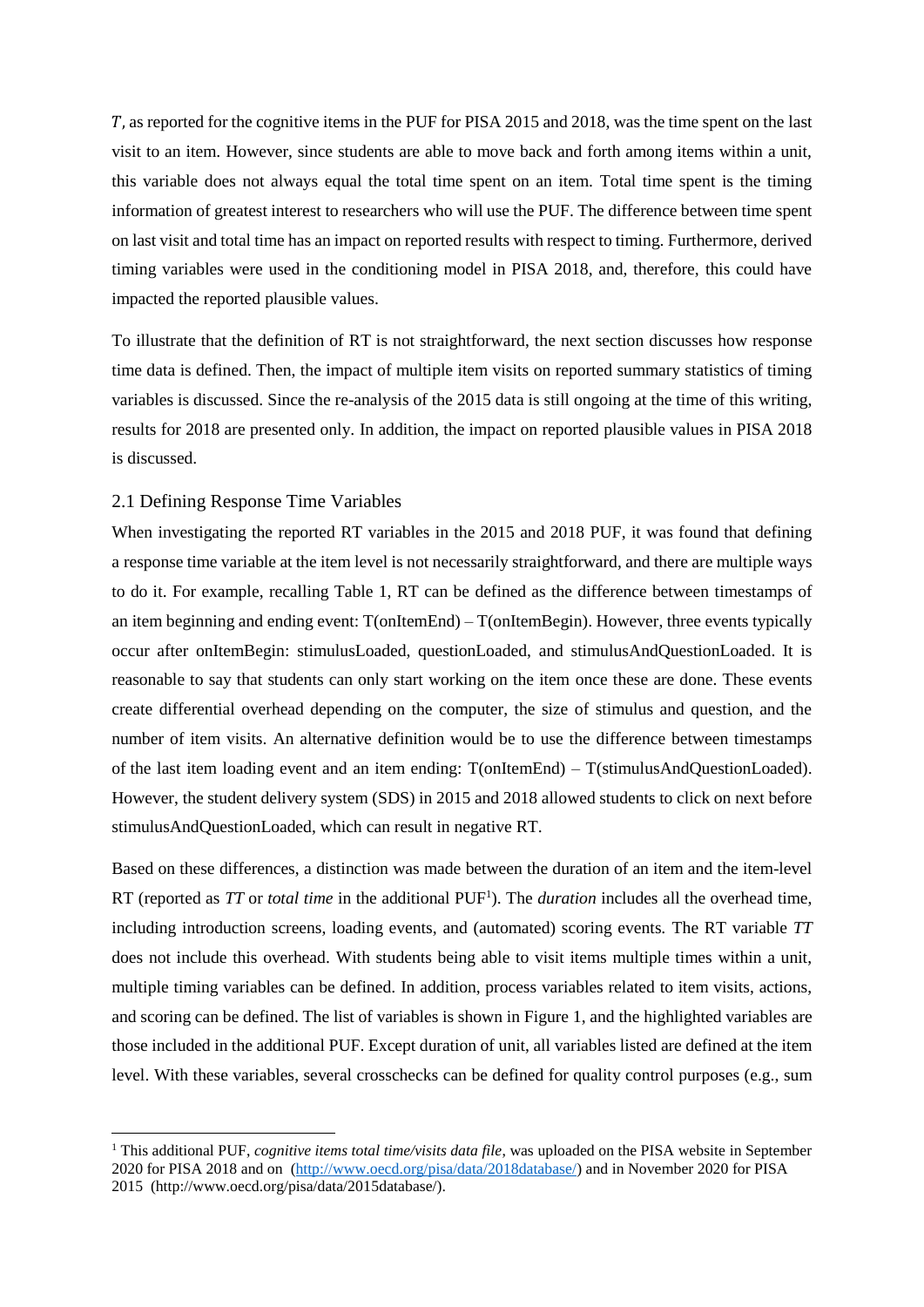, as reported for the cognitive items in the PUF for PISA 2015 and 2018, was the time spent on the last visit to an item. However, since students are able to move back and forth among items within a unit, this variable does not always equal the total time spent on an item. Total time spent is the timing information of greatest interest to researchers who will use the PUF. The difference between time spent on last visit and total time has an impact on reported results with respect to timing. Furthermore, derived timing variables were used in the conditioning model in PISA 2018, and, therefore, this could have impacted the reported plausible values.

To illustrate that the definition of RT is not straightforward, the next section discusses how response time data is defined. Then, the impact of multiple item visits on reported summary statistics of timing variables is discussed. Since the re-analysis of the 2015 data is still ongoing at the time of this writing, results for 2018 are presented only. In addition, the impact on reported plausible values in PISA 2018 is discussed.

## 2.1 Defining Response Time Variables

 $\overline{a}$ 

When investigating the reported RT variables in the 2015 and 2018 PUF, it was found that defining a response time variable at the item level is not necessarily straightforward, and there are multiple ways to do it. For example, recalling Table 1, RT can be defined as the difference between timestamps of an item beginning and ending event:  $T($ onItemEnd $) - T($ onItemBegin). However, three events typically occur after onItemBegin: stimulusLoaded, questionLoaded, and stimulusAndQuestionLoaded. It is reasonable to say that students can only start working on the item once these are done. These events create differential overhead depending on the computer, the size of stimulus and question, and the number of item visits. An alternative definition would be to use the difference between timestamps of the last item loading event and an item ending: T(onItemEnd) – T(stimulusAndQuestionLoaded). However, the student delivery system (SDS) in 2015 and 2018 allowed students to click on next before stimulusAndQuestionLoaded, which can result in negative RT.

Based on these differences, a distinction was made between the duration of an item and the item-level RT (reported as *TT* or *total time* in the additional PUF<sup>1</sup>). The *duration* includes all the overhead time, including introduction screens, loading events, and (automated) scoring events. The RT variable *TT* does not include this overhead. With students being able to visit items multiple times within a unit, multiple timing variables can be defined. In addition, process variables related to item visits, actions, and scoring can be defined. The list of variables is shown in Figure 1, and the highlighted variables are those included in the additional PUF. Except duration of unit, all variables listed are defined at the item level. With these variables, several crosschecks can be defined for quality control purposes (e.g., sum

<sup>1</sup> This additional PUF, *cognitive items total time/visits data file*, was uploaded on the PISA website in September 2020 for PISA 2018 and on [\(http://www.oecd.org/pisa/data/2018database/\)](http://www.oecd.org/pisa/data/2018database/) and in November 2020 for PISA 2015 (http://www.oecd.org/pisa/data/2015database/).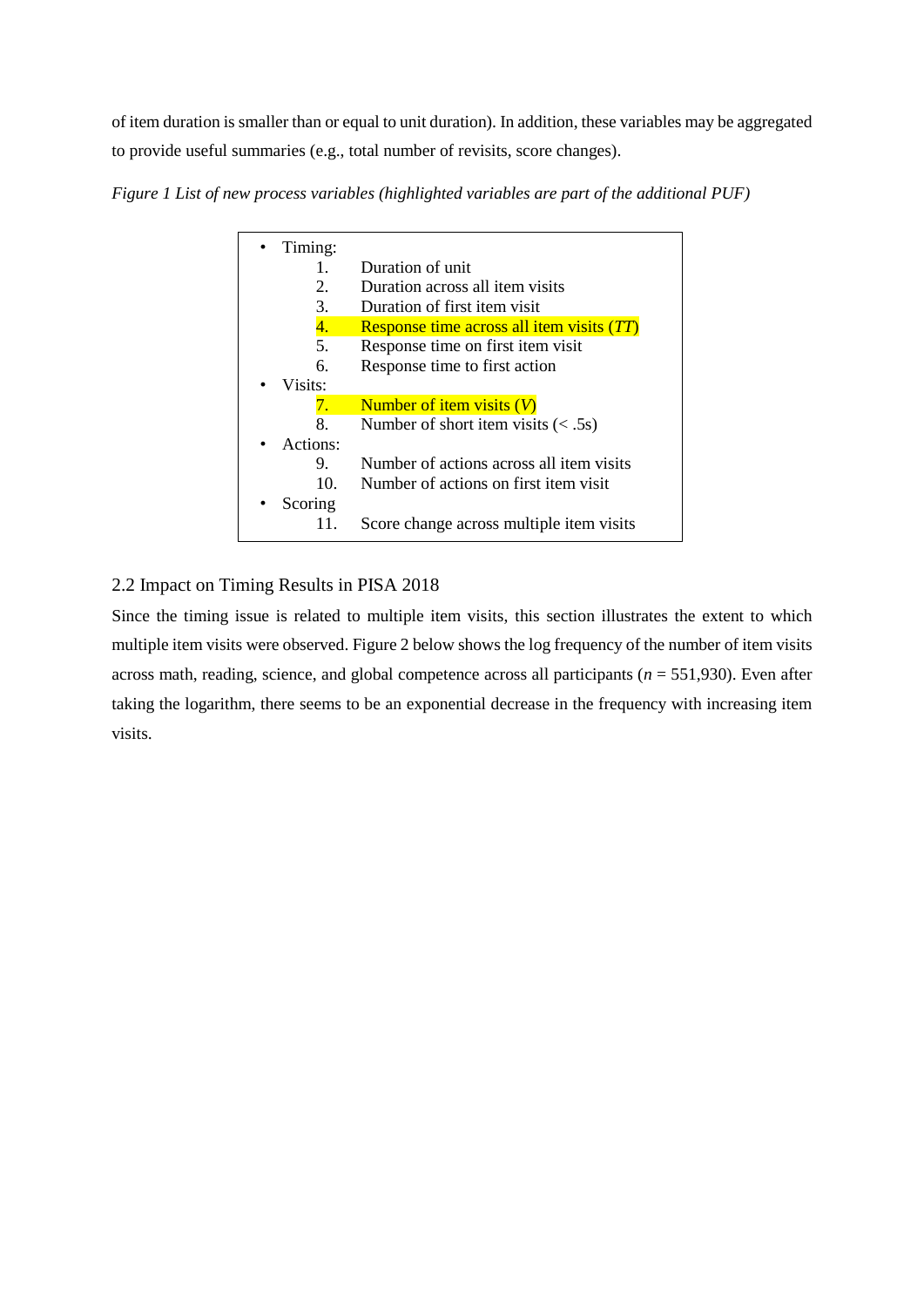of item duration is smaller than or equal to unit duration). In addition, these variables may be aggregated to provide useful summaries (e.g., total number of revisits, score changes).

*Figure 1 List of new process variables (highlighted variables are part of the additional PUF)*

| Timing:  |                                           |
|----------|-------------------------------------------|
| 1.       | Duration of unit                          |
| 2.       | Duration across all item visits           |
| 3.       | Duration of first item visit              |
| 4.       | Response time across all item visits (TT) |
| 5.       | Response time on first item visit         |
| б.       | Response time to first action             |
| Visits:  |                                           |
| 7.       | Number of item visits $(V)$               |
| 8.       | Number of short item visits $(< .5s)$     |
| Actions: |                                           |
| 9.       | Number of actions across all item visits  |
| 10.      | Number of actions on first item visit     |
| Scoring  |                                           |
| 11.      | Score change across multiple item visits  |

# 2.2 Impact on Timing Results in PISA 2018

Since the timing issue is related to multiple item visits, this section illustrates the extent to which multiple item visits were observed. Figure 2 below shows the log frequency of the number of item visits across math, reading, science, and global competence across all participants (*n* = 551,930). Even after taking the logarithm, there seems to be an exponential decrease in the frequency with increasing item visits.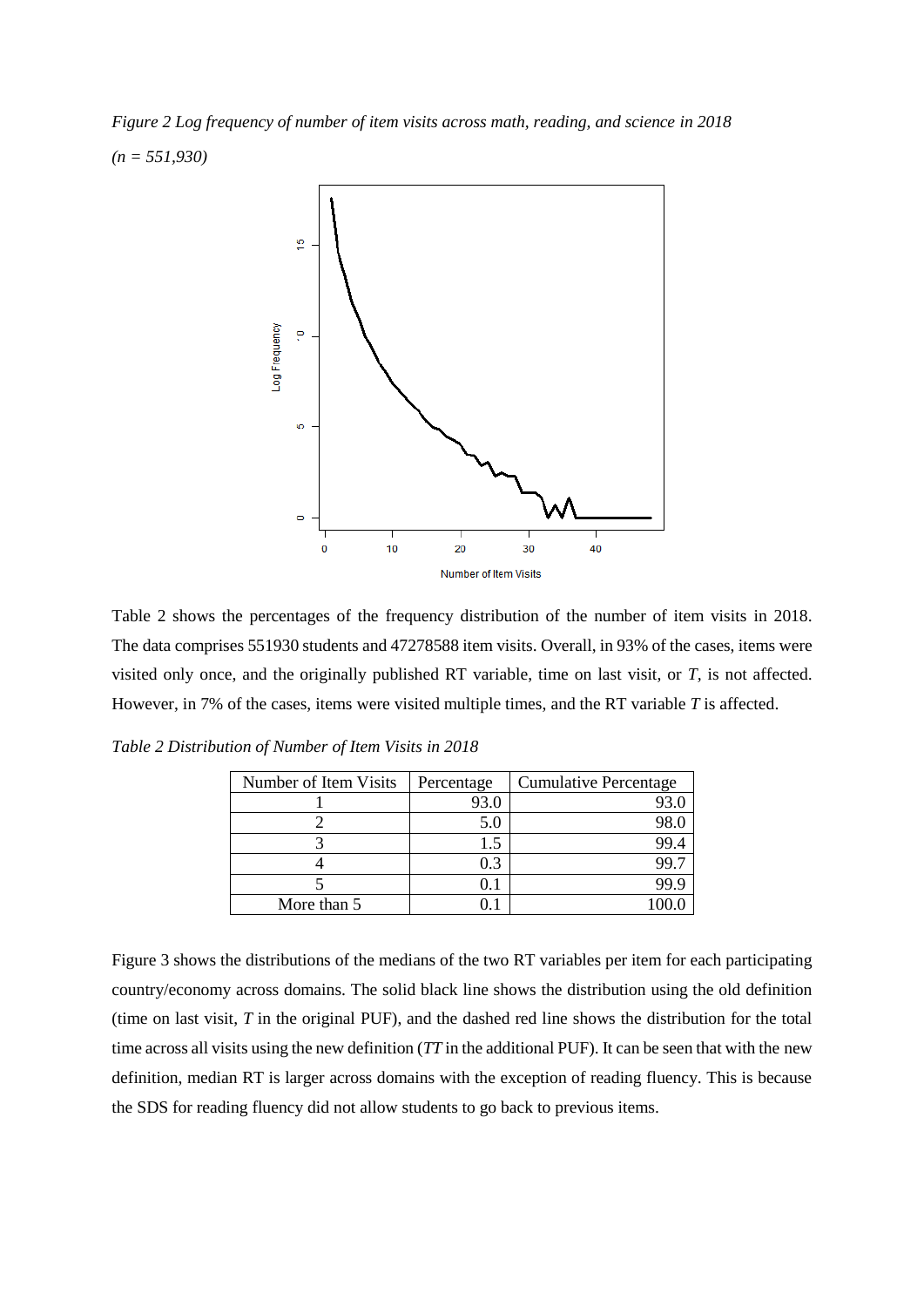*Figure 2 Log frequency of number of item visits across math, reading, and science in 2018 (n = 551,930)*



Table 2 shows the percentages of the frequency distribution of the number of item visits in 2018. The data comprises 551930 students and 47278588 item visits. Overall, in 93% of the cases, items were visited only once, and the originally published RT variable, time on last visit, or *T,* is not affected. However, in 7% of the cases, items were visited multiple times, and the RT variable *T* is affected.

| Number of Item Visits | Percentage | <b>Cumulative Percentage</b> |
|-----------------------|------------|------------------------------|
|                       | 93.0       |                              |
|                       | 5.0        |                              |
|                       |            | - 99.-                       |
|                       | 0.3        |                              |
|                       | O. l       |                              |
| More than 5           |            |                              |

*Table 2 Distribution of Number of Item Visits in 2018*

Figure 3 shows the distributions of the medians of the two RT variables per item for each participating country/economy across domains. The solid black line shows the distribution using the old definition (time on last visit, *T* in the original PUF), and the dashed red line shows the distribution for the total time across all visits using the new definition (*TT* in the additional PUF). It can be seen that with the new definition, median RT is larger across domains with the exception of reading fluency. This is because the SDS for reading fluency did not allow students to go back to previous items.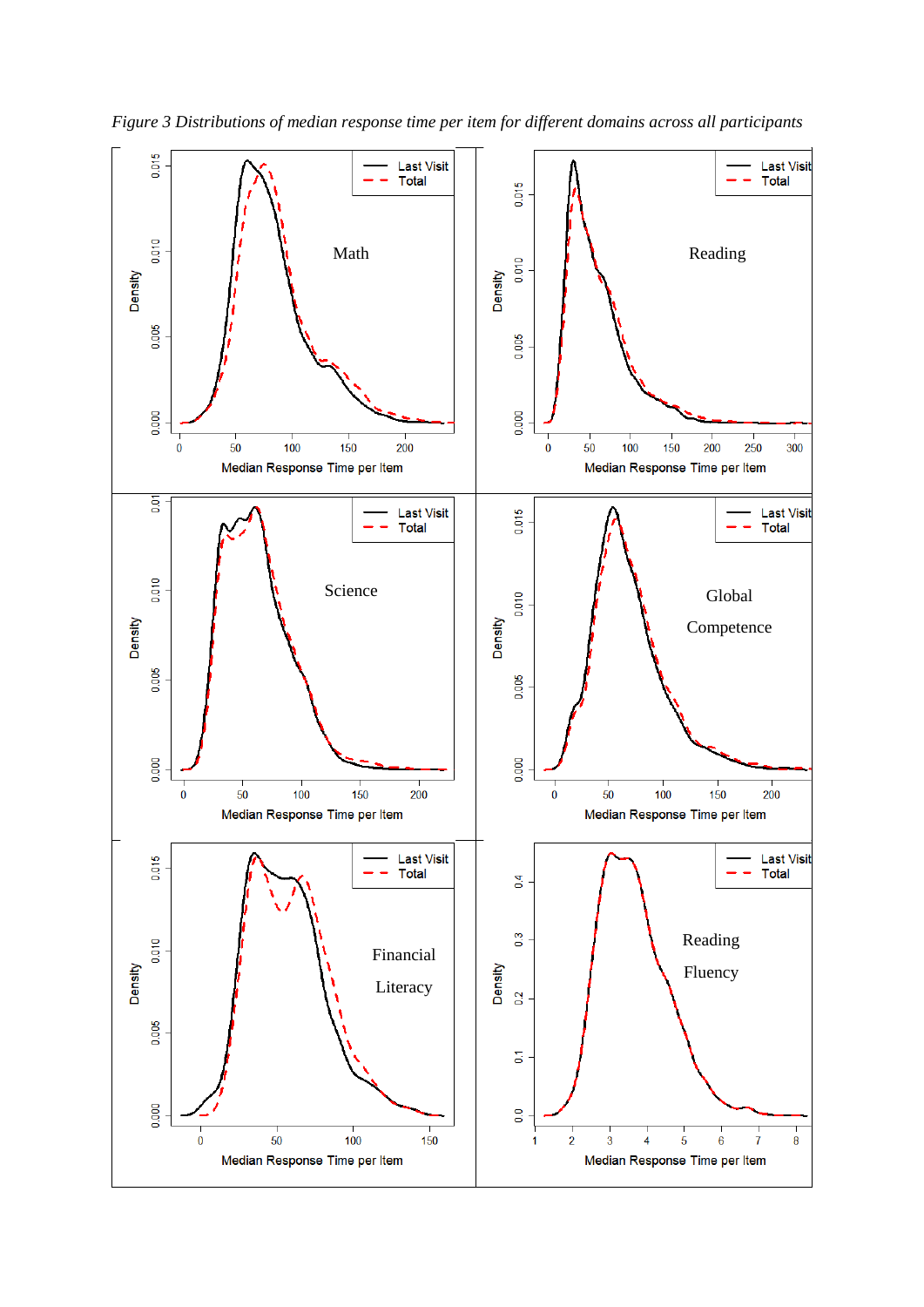

*Figure 3 Distributions of median response time per item for different domains across all participants*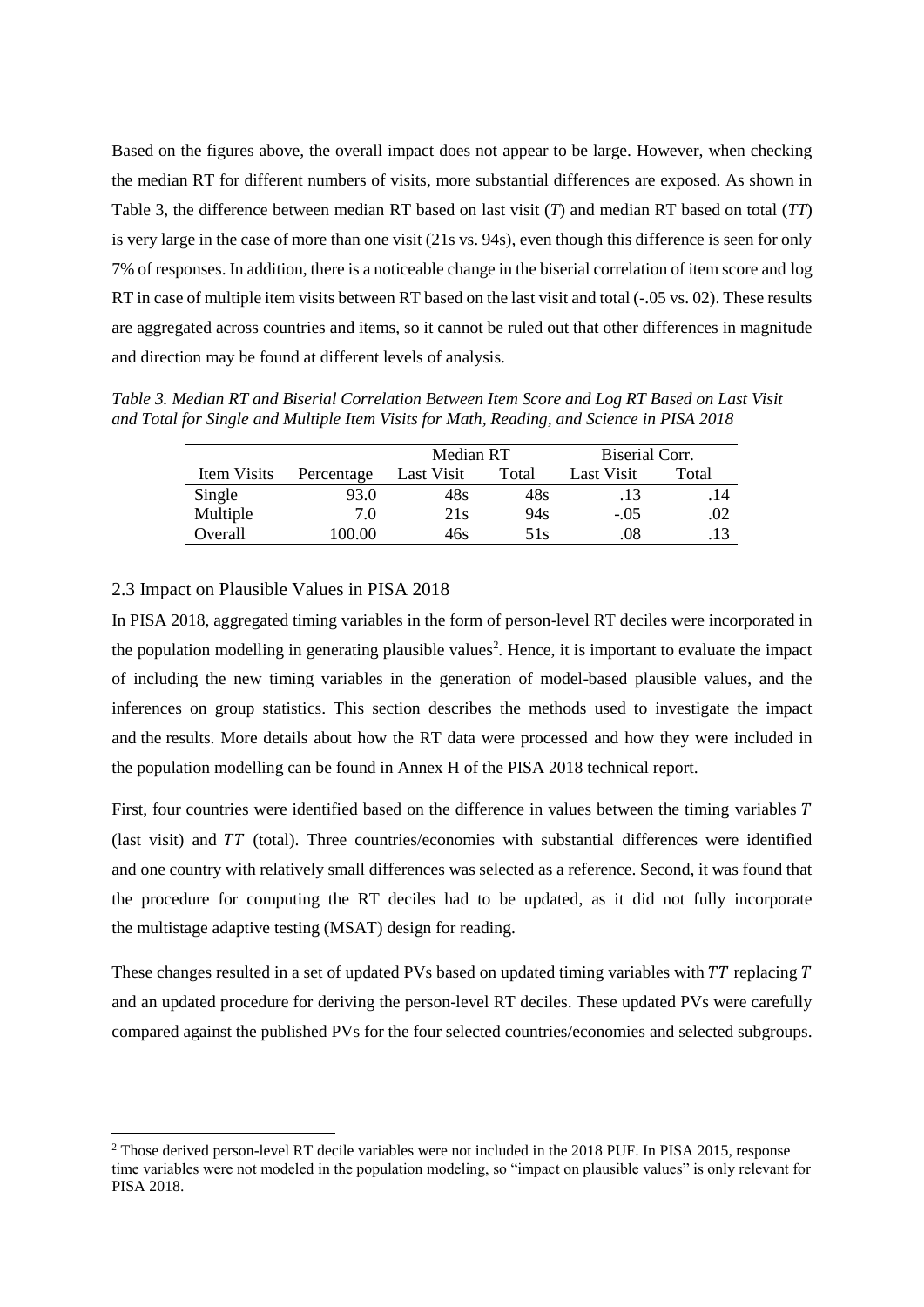Based on the figures above, the overall impact does not appear to be large. However, when checking the median RT for different numbers of visits, more substantial differences are exposed. As shown in Table 3, the difference between median RT based on last visit (*T*) and median RT based on total (*TT*) is very large in the case of more than one visit (21s vs. 94s), even though this difference is seen for only 7% of responses. In addition, there is a noticeable change in the biserial correlation of item score and log RT in case of multiple item visits between RT based on the last visit and total (-.05 vs. 02). These results are aggregated across countries and items, so it cannot be ruled out that other differences in magnitude and direction may be found at different levels of analysis.

*Table 3. Median RT and Biserial Correlation Between Item Score and Log RT Based on Last Visit and Total for Single and Multiple Item Visits for Math, Reading, and Science in PISA 2018*

|             |            | Median RT  |       | Biserial Corr. |       |  |
|-------------|------------|------------|-------|----------------|-------|--|
| Item Visits | Percentage | Last Visit | Total | Last Visit     | Total |  |
| Single      | 93.0       | 48s        | 48s   | .13            | . 14  |  |
| Multiple    | 7.0        | 21s        | 94s   | $-.05$         | .02   |  |
| Overall     | 00.00      | 46s        | 51s   | .08            |       |  |

## 2.3 Impact on Plausible Values in PISA 2018

 $\overline{a}$ 

In PISA 2018, aggregated timing variables in the form of person-level RT deciles were incorporated in the population modelling in generating plausible values<sup>2</sup>. Hence, it is important to evaluate the impact of including the new timing variables in the generation of model-based plausible values, and the inferences on group statistics. This section describes the methods used to investigate the impact and the results. More details about how the RT data were processed and how they were included in the population modelling can be found in Annex H of the PISA 2018 technical report.

First, four countries were identified based on the difference in values between the timing variables  $T$ (last visit) and  $TT$  (total). Three countries/economies with substantial differences were identified and one country with relatively small differences was selected as a reference. Second, it was found that the procedure for computing the RT deciles had to be updated, as it did not fully incorporate the multistage adaptive testing (MSAT) design for reading.

These changes resulted in a set of updated PVs based on updated timing variables with  $TT$  replacing  $T$ and an updated procedure for deriving the person-level RT deciles. These updated PVs were carefully compared against the published PVs for the four selected countries/economies and selected subgroups.

<sup>2</sup> Those derived person-level RT decile variables were not included in the 2018 PUF. In PISA 2015, response time variables were not modeled in the population modeling, so "impact on plausible values" is only relevant for PISA 2018.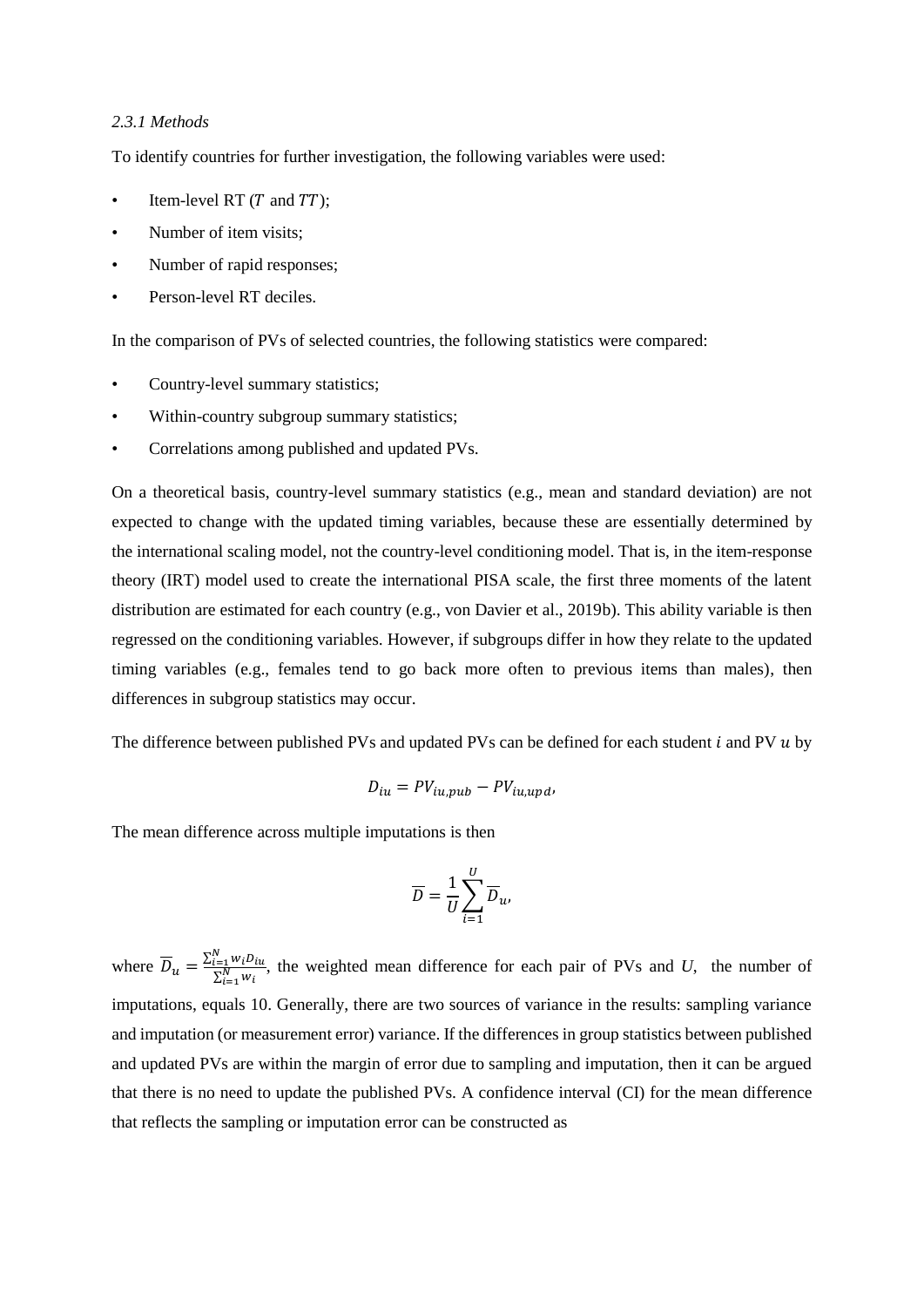#### *2.3.1 Methods*

To identify countries for further investigation, the following variables were used:

- Item-level RT  $(T$  and  $TT)$ ;
- Number of item visits;
- Number of rapid responses;
- Person-level RT deciles.

In the comparison of PVs of selected countries, the following statistics were compared:

- Country-level summary statistics;
- Within-country subgroup summary statistics;
- Correlations among published and updated PVs.

On a theoretical basis, country-level summary statistics (e.g., mean and standard deviation) are not expected to change with the updated timing variables, because these are essentially determined by the international scaling model, not the country-level conditioning model. That is, in the item-response theory (IRT) model used to create the international PISA scale, the first three moments of the latent distribution are estimated for each country (e.g., von Davier et al., 2019b). This ability variable is then regressed on the conditioning variables. However, if subgroups differ in how they relate to the updated timing variables (e.g., females tend to go back more often to previous items than males), then differences in subgroup statistics may occur.

The difference between published PVs and updated PVs can be defined for each student  $i$  and PV  $u$  by

$$
D_{iu} = PV_{iu, pub} - PV_{iu,upd},
$$

The mean difference across multiple imputations is then

$$
\overline{D} = \frac{1}{U} \sum_{i=1}^{U} \overline{D}_{u},
$$

where  $\overline{D}_u = \frac{\sum_{i=1}^N w_i D_{iu}}{\sum_{i=1}^N w_i}$  $\frac{\sum_{i=1}^{i=1} w_i v_{ii}}{\sum_{i=1}^{N} w_i}$ , the weighted mean difference for each pair of PVs and *U*, the number of imputations, equals 10. Generally, there are two sources of variance in the results: sampling variance and imputation (or measurement error) variance. If the differences in group statistics between published and updated PVs are within the margin of error due to sampling and imputation, then it can be argued that there is no need to update the published PVs. A confidence interval (CI) for the mean difference that reflects the sampling or imputation error can be constructed as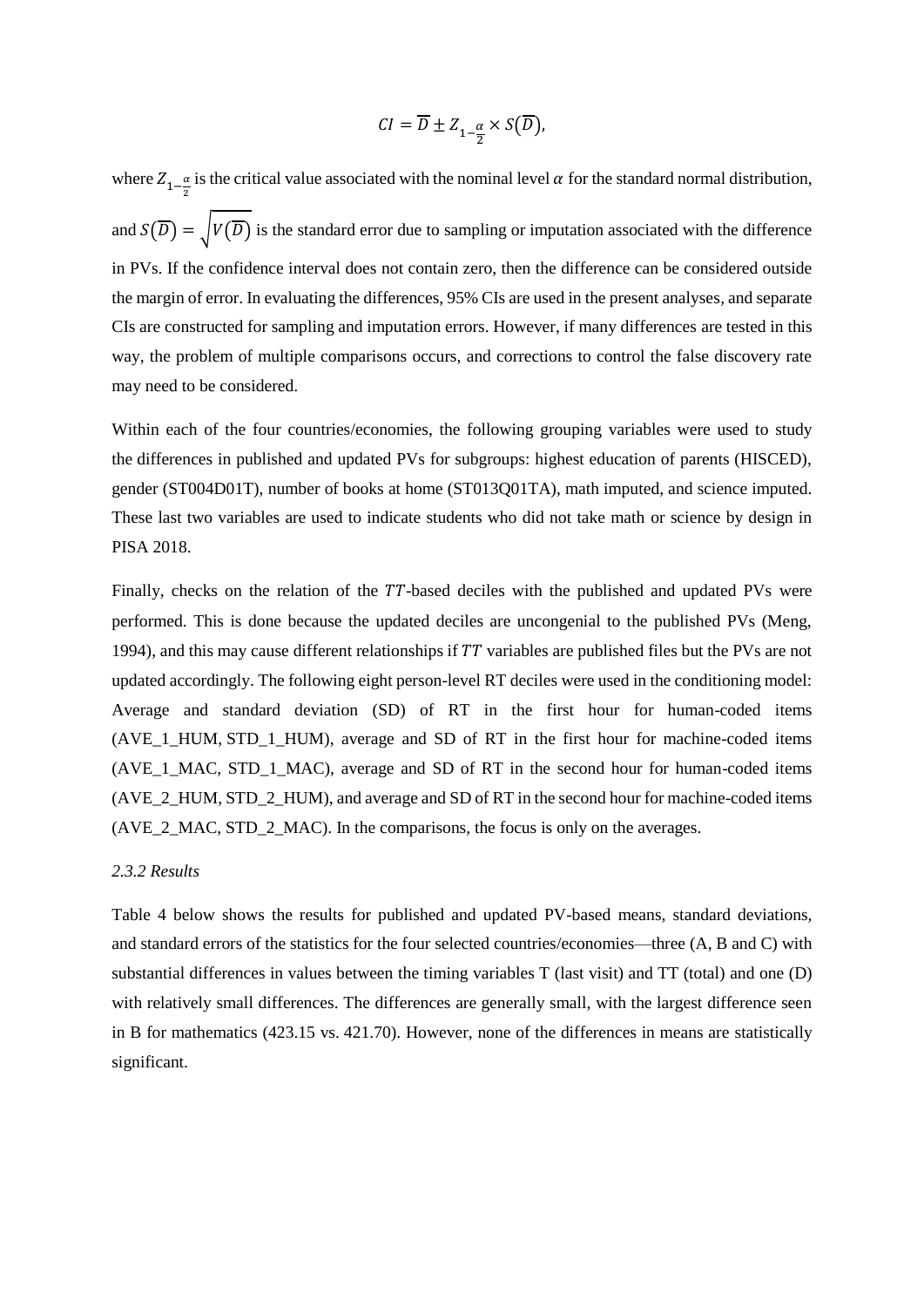$$
CI = \overline{D} \pm Z_{1-\frac{\alpha}{2}} \times S(\overline{D}),
$$

where  $Z_{1-\frac{\alpha}{2}}$  $\frac{\alpha}{2}$  is the critical value associated with the nominal level  $\alpha$  for the standard normal distribution, and  $S(\overline{D}) = \sqrt{V(\overline{D})}$  is the standard error due to sampling or imputation associated with the difference in PVs. If the confidence interval does not contain zero, then the difference can be considered outside the margin of error. In evaluating the differences, 95% CIs are used in the present analyses, and separate CIs are constructed for sampling and imputation errors. However, if many differences are tested in this way, the problem of multiple comparisons occurs, and corrections to control the false discovery rate may need to be considered.

Within each of the four countries/economies, the following grouping variables were used to study the differences in published and updated PVs for subgroups: highest education of parents (HISCED), gender (ST004D01T), number of books at home (ST013Q01TA), math imputed, and science imputed. These last two variables are used to indicate students who did not take math or science by design in PISA 2018.

Finally, checks on the relation of the  $TT$ -based deciles with the published and updated PVs were performed. This is done because the updated deciles are uncongenial to the published PVs (Meng, 1994), and this may cause different relationships if  $TT$  variables are published files but the PVs are not updated accordingly. The following eight person-level RT deciles were used in the conditioning model: Average and standard deviation (SD) of RT in the first hour for human-coded items (AVE\_1\_HUM, STD\_1\_HUM), average and SD\_ of RT in the first hour for machine-coded items (AVE\_1\_MAC, STD\_1\_MAC), average and SD of RT in the second hour for human-coded items (AVE\_2\_HUM, STD\_2\_HUM), and average and SD of RT in the second hour for machine-coded items (AVE\_2\_MAC, STD\_2\_MAC). In the comparisons, the focus is only on the averages.

#### *2.3.2 Results*

Table 4 below shows the results for published and updated PV-based means, standard deviations, and standard errors of the statistics for the four selected countries/economies—three (A, B and C) with substantial differences in values between the timing variables T (last visit) and TT (total) and one (D) with relatively small differences. The differences are generally small, with the largest difference seen in B for mathematics (423.15 vs. 421.70). However, none of the differences in means are statistically significant.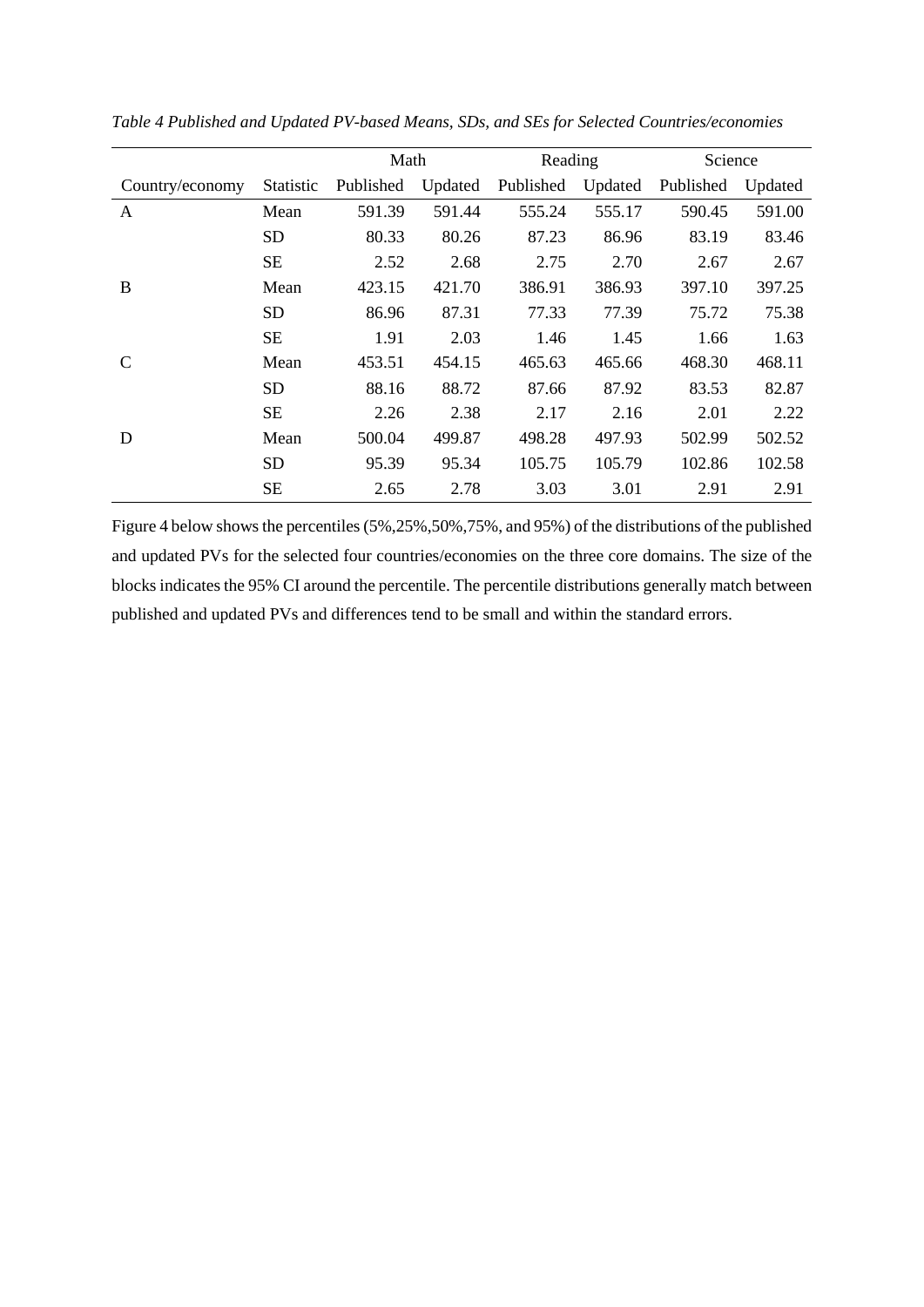|                 |           | Math      |         | Reading   |         | Science   |         |
|-----------------|-----------|-----------|---------|-----------|---------|-----------|---------|
| Country/economy | Statistic | Published | Updated | Published | Updated | Published | Updated |
| A               | Mean      | 591.39    | 591.44  | 555.24    | 555.17  | 590.45    | 591.00  |
|                 | <b>SD</b> | 80.33     | 80.26   | 87.23     | 86.96   | 83.19     | 83.46   |
|                 | <b>SE</b> | 2.52      | 2.68    | 2.75      | 2.70    | 2.67      | 2.67    |
| B               | Mean      | 423.15    | 421.70  | 386.91    | 386.93  | 397.10    | 397.25  |
|                 | <b>SD</b> | 86.96     | 87.31   | 77.33     | 77.39   | 75.72     | 75.38   |
|                 | <b>SE</b> | 1.91      | 2.03    | 1.46      | 1.45    | 1.66      | 1.63    |
|                 | Mean      | 453.51    | 454.15  | 465.63    | 465.66  | 468.30    | 468.11  |
|                 | <b>SD</b> | 88.16     | 88.72   | 87.66     | 87.92   | 83.53     | 82.87   |
|                 | <b>SE</b> | 2.26      | 2.38    | 2.17      | 2.16    | 2.01      | 2.22    |
| D               | Mean      | 500.04    | 499.87  | 498.28    | 497.93  | 502.99    | 502.52  |
|                 | SD        | 95.39     | 95.34   | 105.75    | 105.79  | 102.86    | 102.58  |
|                 | <b>SE</b> | 2.65      | 2.78    | 3.03      | 3.01    | 2.91      | 2.91    |

*Table 4 Published and Updated PV-based Means, SDs, and SEs for Selected Countries/economies*

Figure 4 below shows the percentiles (5%,25%,50%,75%, and 95%) of the distributions of the published and updated PVs for the selected four countries/economies on the three core domains. The size of the blocks indicates the 95% CI around the percentile. The percentile distributions generally match between published and updated PVs and differences tend to be small and within the standard errors.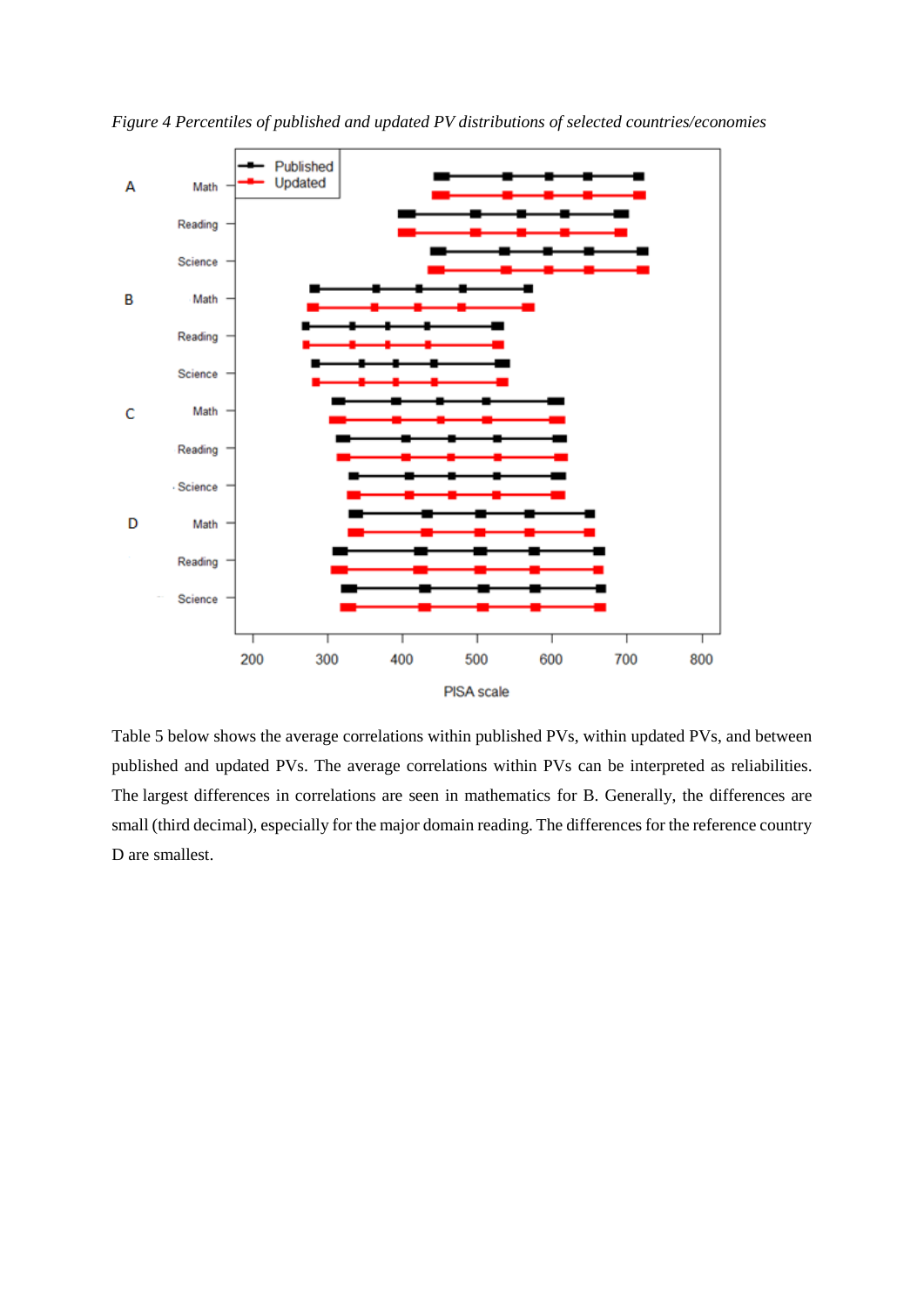

*Figure 4 Percentiles of published and updated PV distributions of selected countries/economies*

Table 5 below shows the average correlations within published PVs, within updated PVs, and between published and updated PVs. The average correlations within PVs can be interpreted as reliabilities. The largest differences in correlations are seen in mathematics for B. Generally, the differences are small (third decimal), especially for the major domain reading. The differences for the reference country D are smallest.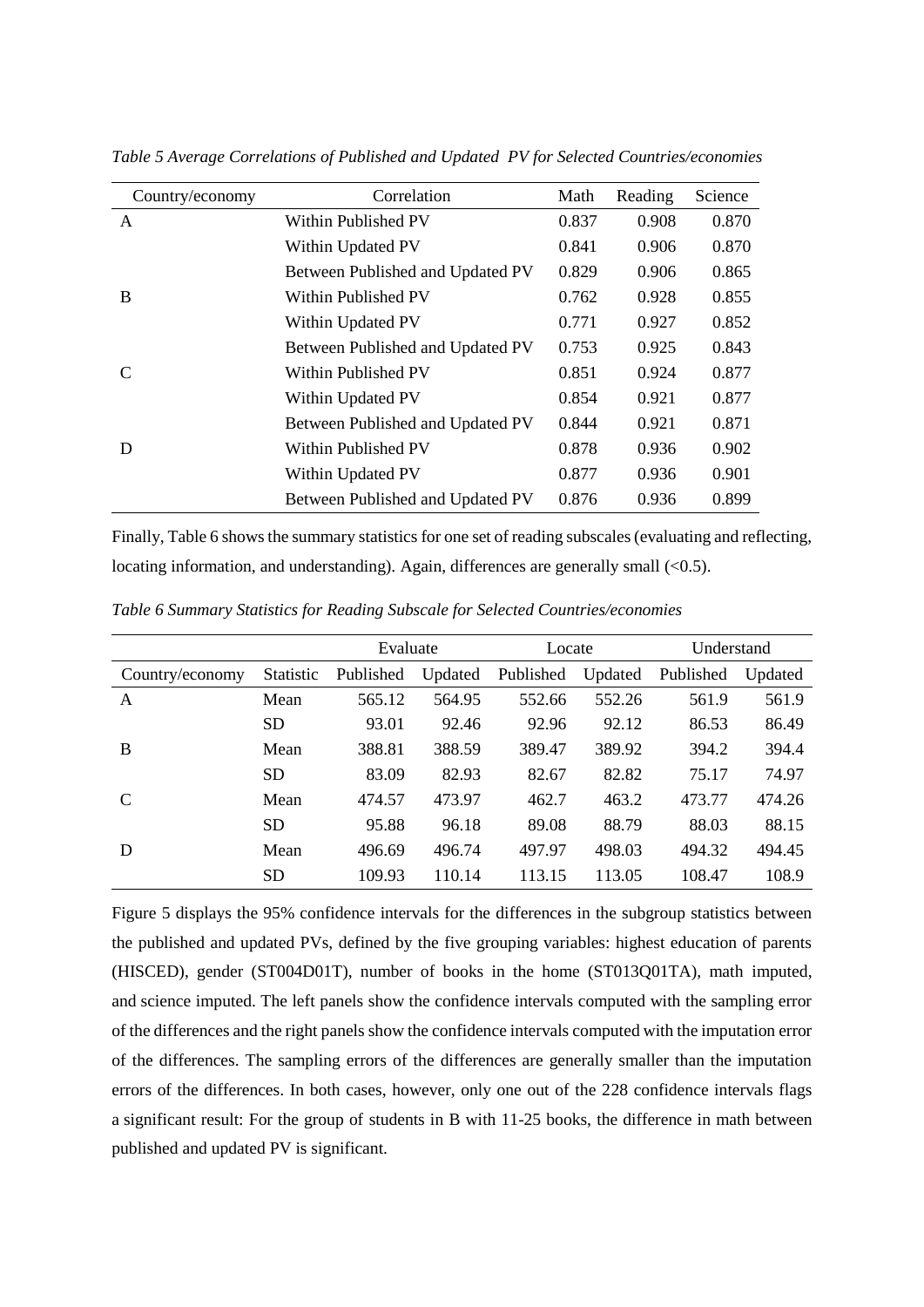| Country/economy | Correlation                      | Math  | Reading | Science |
|-----------------|----------------------------------|-------|---------|---------|
| A               | Within Published PV              | 0.837 | 0.908   | 0.870   |
|                 | Within Updated PV                | 0.841 | 0.906   | 0.870   |
|                 | Between Published and Updated PV | 0.829 | 0.906   | 0.865   |
| B               | Within Published PV              | 0.762 | 0.928   | 0.855   |
|                 | Within Updated PV                | 0.771 | 0.927   | 0.852   |
|                 | Between Published and Updated PV | 0.753 | 0.925   | 0.843   |
| C               | <b>Within Published PV</b>       | 0.851 | 0.924   | 0.877   |
|                 | Within Updated PV                | 0.854 | 0.921   | 0.877   |
|                 | Between Published and Updated PV | 0.844 | 0.921   | 0.871   |
| D               | Within Published PV              | 0.878 | 0.936   | 0.902   |
|                 | Within Updated PV                | 0.877 | 0.936   | 0.901   |
|                 | Between Published and Updated PV | 0.876 | 0.936   | 0.899   |

*Table 5 Average Correlations of Published and Updated PV for Selected Countries/economies*

Finally, Table 6 shows the summary statistics for one set of reading subscales (evaluating and reflecting, locating information, and understanding). Again, differences are generally small (<0.5).

|                 |           | Evaluate  |         | Locate    |         | Understand |         |
|-----------------|-----------|-----------|---------|-----------|---------|------------|---------|
| Country/economy | Statistic | Published | Updated | Published | Updated | Published  | Updated |
| A               | Mean      | 565.12    | 564.95  | 552.66    | 552.26  | 561.9      | 561.9   |
|                 | <b>SD</b> | 93.01     | 92.46   | 92.96     | 92.12   | 86.53      | 86.49   |
| B               | Mean      | 388.81    | 388.59  | 389.47    | 389.92  | 394.2      | 394.4   |
|                 | <b>SD</b> | 83.09     | 82.93   | 82.67     | 82.82   | 75.17      | 74.97   |
| C               | Mean      | 474.57    | 473.97  | 462.7     | 463.2   | 473.77     | 474.26  |
|                 | SD.       | 95.88     | 96.18   | 89.08     | 88.79   | 88.03      | 88.15   |
| D               | Mean      | 496.69    | 496.74  | 497.97    | 498.03  | 494.32     | 494.45  |
|                 | <b>SD</b> | 109.93    | 110.14  | 113.15    | 113.05  | 108.47     | 108.9   |

*Table 6 Summary Statistics for Reading Subscale for Selected Countries/economies*

Figure 5 displays the 95% confidence intervals for the differences in the subgroup statistics between the published and updated PVs, defined by the five grouping variables: highest education of parents (HISCED), gender (ST004D01T), number of books in the home (ST013Q01TA), math imputed, and science imputed. The left panels show the confidence intervals computed with the sampling error of the differences and the right panels show the confidence intervals computed with the imputation error of the differences. The sampling errors of the differences are generally smaller than the imputation errors of the differences. In both cases, however, only one out of the 228 confidence intervals flags a significant result: For the group of students in B with 11-25 books, the difference in math between published and updated PV is significant.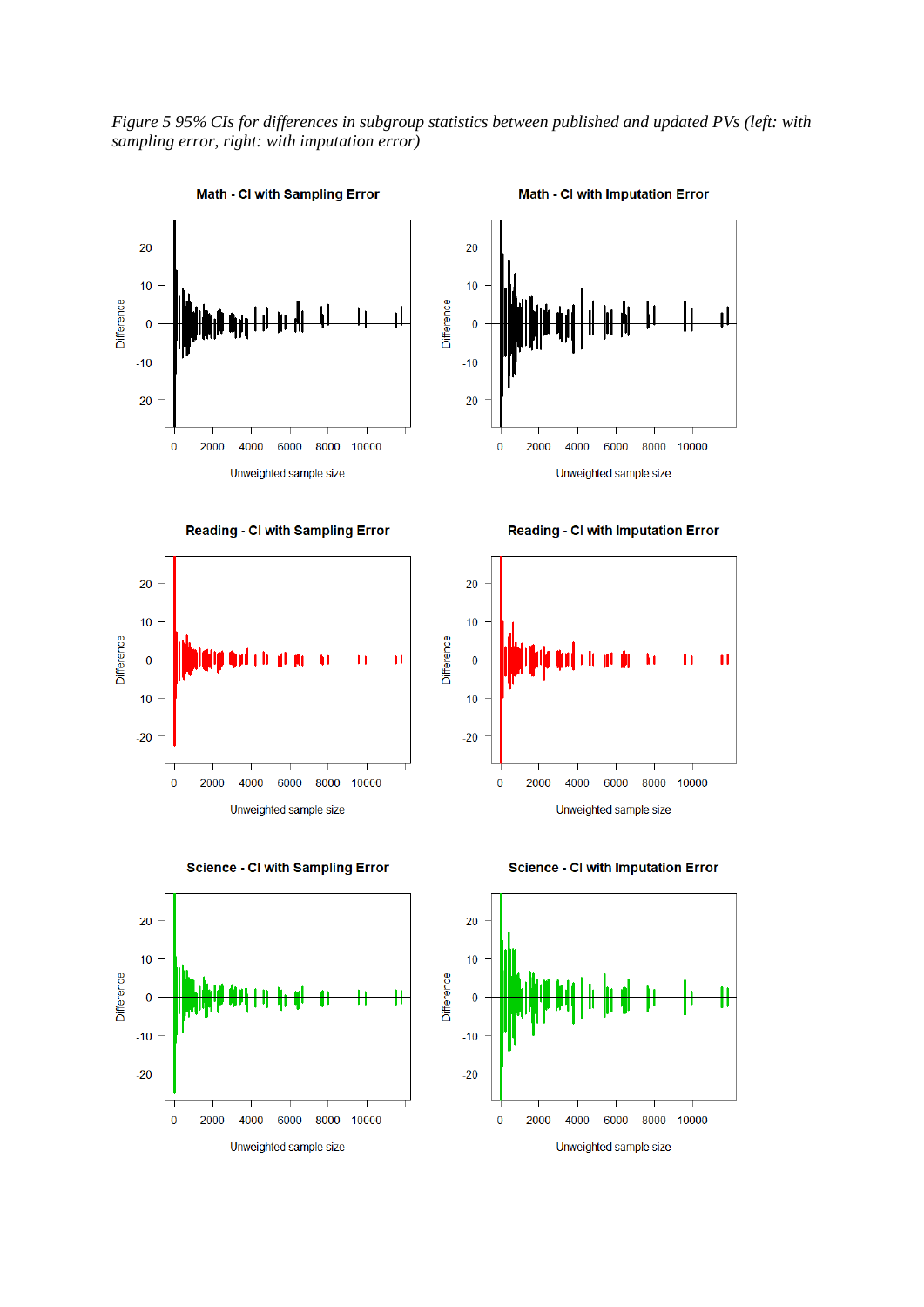*Figure 5 95% CIs for differences in subgroup statistics between published and updated PVs (left: with sampling error, right: with imputation error)*



**Reading - CI with Sampling Error** 



Unweighted sample size





**Reading - CI with Imputation Error** 





Difference

**Science - CI with Imputation Error**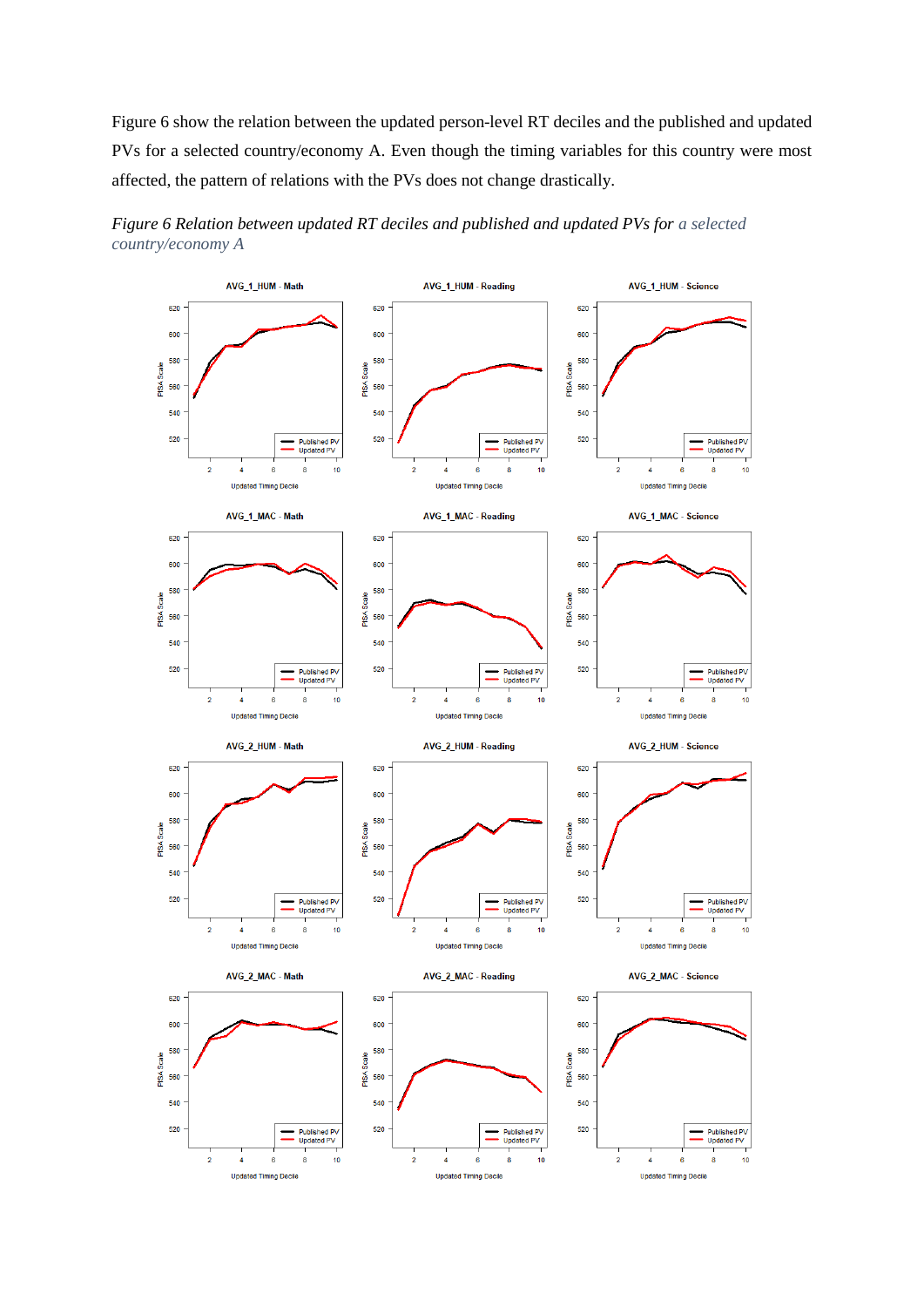Figure 6 show the relation between the updated person-level RT deciles and the published and updated PVs for a selected country/economy A. Even though the timing variables for this country were most affected, the pattern of relations with the PVs does not change drastically.



*Figure 6 Relation between updated RT deciles and published and updated PVs for a selected country/economy A*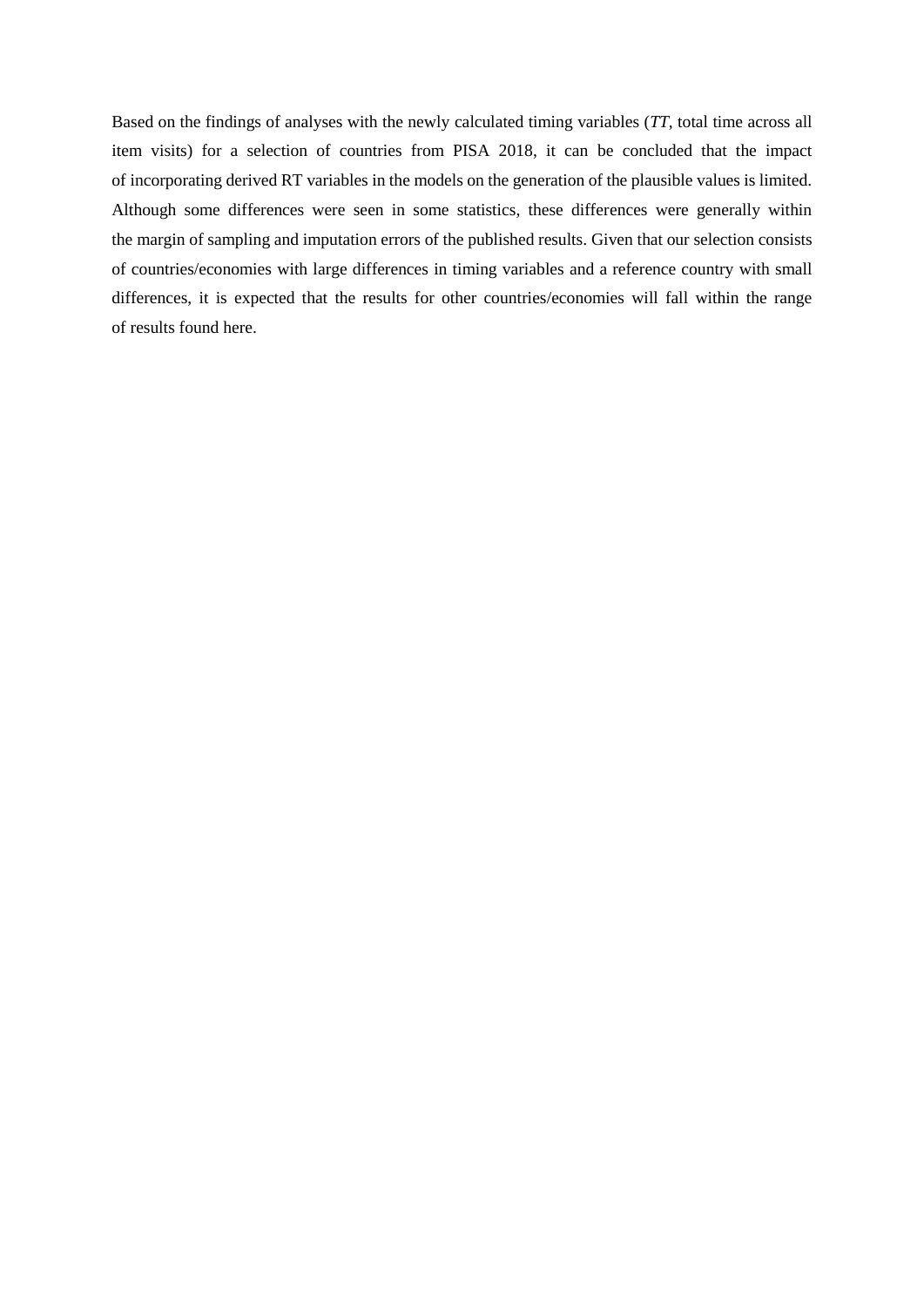Based on the findings of analyses with the newly calculated timing variables (*TT*, total time across all item visits) for a selection of countries from PISA 2018, it can be concluded that the impact of incorporating derived RT variables in the models on the generation of the plausible values is limited. Although some differences were seen in some statistics, these differences were generally within the margin of sampling and imputation errors of the published results. Given that our selection consists of countries/economies with large differences in timing variables and a reference country with small differences, it is expected that the results for other countries/economies will fall within the range of results found here.